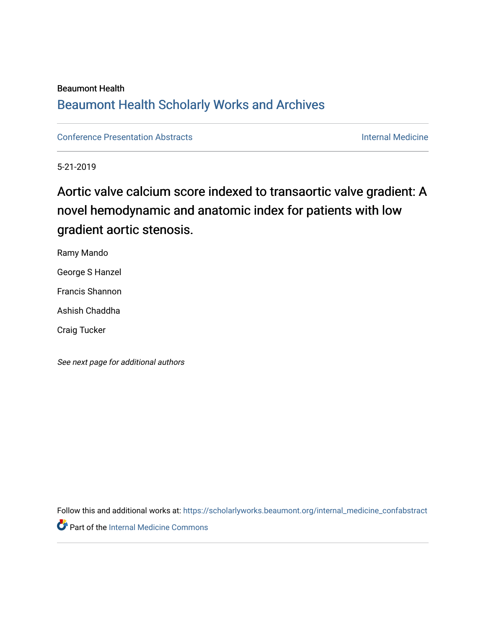#### Beaumont Health

# [Beaumont Health Scholarly Works and Archives](https://scholarlyworks.beaumont.org/)

[Conference Presentation Abstracts](https://scholarlyworks.beaumont.org/internal_medicine_confabstract) [Internal Medicine](https://scholarlyworks.beaumont.org/internal_medicine) 

5-21-2019

# Aortic valve calcium score indexed to transaortic valve gradient: A novel hemodynamic and anatomic index for patients with low gradient aortic stenosis.

Ramy Mando George S Hanzel

Francis Shannon

Ashish Chaddha

Craig Tucker

See next page for additional authors

Follow this and additional works at: [https://scholarlyworks.beaumont.org/internal\\_medicine\\_confabstract](https://scholarlyworks.beaumont.org/internal_medicine_confabstract?utm_source=scholarlyworks.beaumont.org%2Finternal_medicine_confabstract%2F33&utm_medium=PDF&utm_campaign=PDFCoverPages)  **Part of the [Internal Medicine Commons](http://network.bepress.com/hgg/discipline/1356?utm_source=scholarlyworks.beaumont.org%2Finternal_medicine_confabstract%2F33&utm_medium=PDF&utm_campaign=PDFCoverPages)**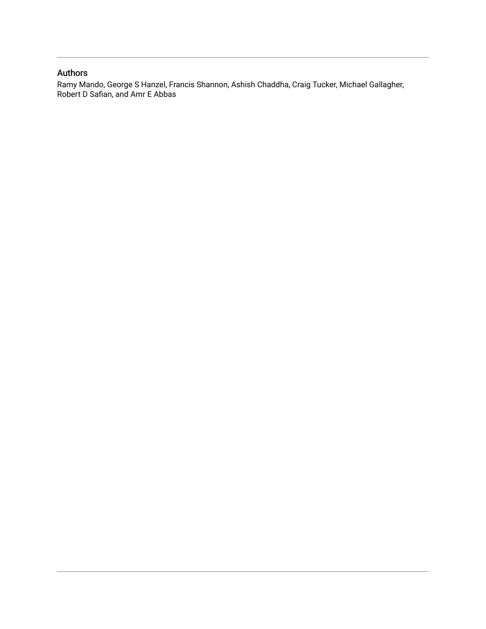### Authors

Ramy Mando, George S Hanzel, Francis Shannon, Ashish Chaddha, Craig Tucker, Michael Gallagher, Robert D Safian, and Amr E Abbas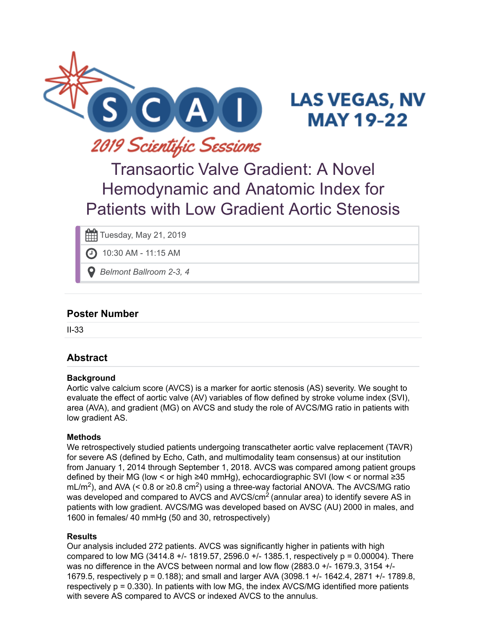

# **LAS VEGAS, NV MAY 19-22**

# Transaortic Valve Gradient: A Novel Hemodynamic and Anatomic Index for Patients with Low Gradient Aortic Stenosis

Tuesday, May 21, 2019

10:30 AM - 11:15 AM

*Belmont Ballroom 2-3, 4*

# **Poster Number**

II-33

# **Abstract**

#### **Background**

Aortic valve calcium score (AVCS) is a marker for aortic stenosis (AS) severity. We sought to evaluate the effect of aortic valve (AV) variables of flow defined by stroke volume index (SVI), area (AVA), and gradient (MG) on AVCS and study the role of AVCS/MG ratio in patients with low gradient AS.

#### **Methods**

We retrospectively studied patients undergoing transcatheter aortic valve replacement (TAVR) for severe AS (defined by Echo, Cath, and multimodality team consensus) at our institution from January 1, 2014 through September 1, 2018. AVCS was compared among patient groups defined by their MG (low < or high ≥40 mmHg), echocardiographic SVI (low < or normal ≥35 mL/m<sup>2</sup>), and AVA (< 0.8 or ≥0.8 cm<sup>2</sup>) using a three-way factorial ANOVA. The AVCS/MG ratio was developed and compared to AVCS and AVCS/cm $^2$  (annular area) to identify severe AS in patients with low gradient. AVCS/MG was developed based on AVSC (AU) 2000 in males, and 1600 in females/ 40 mmHg (50 and 30, retrospectively)

#### **Results**

Our analysis included 272 patients. AVCS was significantly higher in patients with high compared to low MG (3414.8 +/- 1819.57, 2596.0 +/- 1385.1, respectively p = 0.00004). There was no difference in the AVCS between normal and low flow (2883.0 +/- 1679.3, 3154 +/- 1679.5, respectively p = 0.188); and small and larger AVA (3098.1 +/- 1642.4, 2871 +/- 1789.8, respectively  $p = 0.330$ ). In patients with low MG, the index AVCS/MG identified more patients with severe AS compared to AVCS or indexed AVCS to the annulus.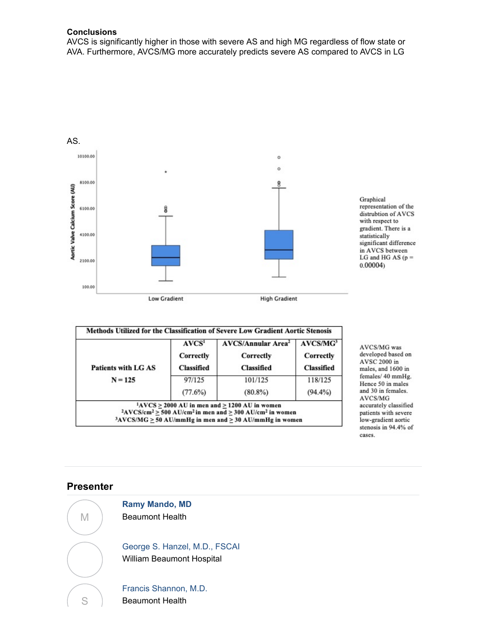#### **Conclusions**

AVCS is significantly higher in those with severe AS and high MG regardless of flow state or AVA. Furthermore, AVCS/MG more accurately predicts severe AS compared to AVCS in LG



| <b>Patients with LG AS</b> | Correctly<br><b>Classified</b> | Correctly<br><b>Classified</b> | Correctly<br><b>Classified</b> |
|----------------------------|--------------------------------|--------------------------------|--------------------------------|
| $N = 125$                  | 97/125                         | 101/125                        | 118/125                        |
|                            | (77.6%)                        | $(80.8\%)$                     | $(94.4\%)$                     |

AVCS/MG was developed based on AVSC 2000 in males, and 1600 in females/40 mmHg. Hence 50 in males and 30 in females. AVCS/MG accurately classified patients with severe low-gradient aortic stenosis in 94.4% of cases.

### **Presenter**



**[Ramy Mando, MD](https://scai.confex.com/scai/2019/meetingapp.cgi/Person/37532)** Beaumont Health

[George S. Hanzel, M.D., FSCAI](https://scai.confex.com/scai/2019/meetingapp.cgi/Person/578) William Beaumont Hospital

[Francis Shannon, M.D.](https://scai.confex.com/scai/2019/meetingapp.cgi/Person/37568) Beaumont Health